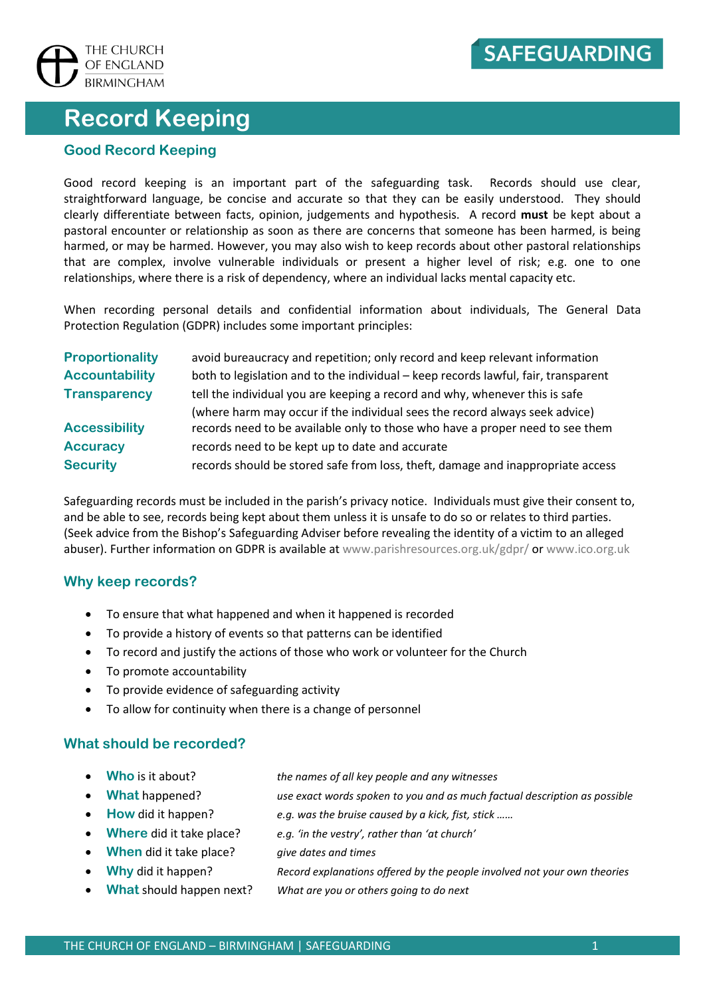

# **Record Keeping**

#### **Good Record Keeping**

Good record keeping is an important part of the safeguarding task. Records should use clear, straightforward language, be concise and accurate so that they can be easily understood. They should clearly differentiate between facts, opinion, judgements and hypothesis. A record **must** be kept about a pastoral encounter or relationship as soon as there are concerns that someone has been harmed, is being harmed, or may be harmed. However, you may also wish to keep records about other pastoral relationships that are complex, involve vulnerable individuals or present a higher level of risk; e.g. one to one relationships, where there is a risk of dependency, where an individual lacks mental capacity etc.

When recording personal details and confidential information about individuals, The General Data Protection Regulation (GDPR) includes some important principles:

| <b>Proportionality</b> | avoid bureaucracy and repetition; only record and keep relevant information        |
|------------------------|------------------------------------------------------------------------------------|
| <b>Accountability</b>  | both to legislation and to the individual - keep records lawful, fair, transparent |
| <b>Transparency</b>    | tell the individual you are keeping a record and why, whenever this is safe        |
|                        | (where harm may occur if the individual sees the record always seek advice)        |
| <b>Accessibility</b>   | records need to be available only to those who have a proper need to see them      |
| <b>Accuracy</b>        | records need to be kept up to date and accurate                                    |
| <b>Security</b>        | records should be stored safe from loss, theft, damage and inappropriate access    |

Safeguarding records must be included in the parish's privacy notice. Individuals must give their consent to, and be able to see, records being kept about them unless it is unsafe to do so or relates to third parties. (Seek advice from the Bishop's Safeguarding Adviser before revealing the identity of a victim to an alleged abuser). Further information on GDPR is available at [www.parishresources.org.uk/gdpr/](http://www.parishresources.org.uk/gdpr/) or www.ico.org.uk

#### **Why keep records?**

- To ensure that what happened and when it happened is recorded
- To provide a history of events so that patterns can be identified
- To record and justify the actions of those who work or volunteer for the Church
- To promote accountability
- To provide evidence of safeguarding activity
- To allow for continuity when there is a change of personnel

#### **What should be recorded?**

- **Who** is it about? *the names of all key people and any witnesses*
- -
	-
	- **When** did it take place? *give dates and times*
	-
	-
- 
- **What** happened? *use exact words spoken to you and as much factual description as possible*
	- **How** did it happen? *e.g. was the bruise caused by a kick, fist, stick ……*
	- **Where** did it take place? *e.g. 'in the vestry', rather than 'at church'*
		-
	- **Why** did it happen? *Record explanations offered by the people involved not your own theories*
	- **What** should happen next? *What are you or others going to do next*